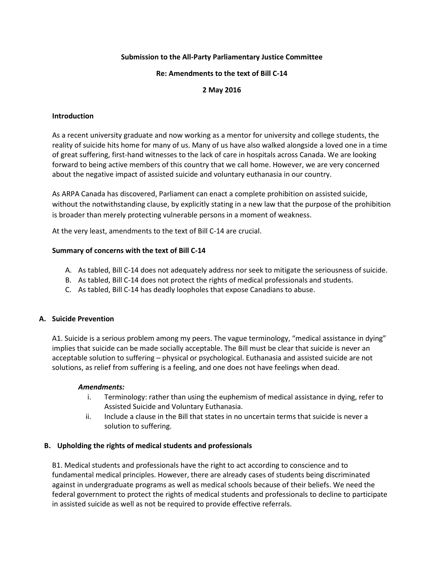## **Submission to the All-Party Parliamentary Justice Committee**

#### **Re: Amendments to the text of Bill C-14**

# **2 May 2016**

### **Introduction**

As a recent university graduate and now working as a mentor for university and college students, the reality of suicide hits home for many of us. Many of us have also walked alongside a loved one in a time of great suffering, first-hand witnesses to the lack of care in hospitals across Canada. We are looking forward to being active members of this country that we call home. However, we are very concerned about the negative impact of assisted suicide and voluntary euthanasia in our country.

As ARPA Canada has discovered, Parliament can enact a complete prohibition on assisted suicide, without the notwithstanding clause, by explicitly stating in a new law that the purpose of the prohibition is broader than merely protecting vulnerable persons in a moment of weakness.

At the very least, amendments to the text of Bill C-14 are crucial.

#### **Summary of concerns with the text of Bill C-14**

- A. As tabled, Bill C-14 does not adequately address nor seek to mitigate the seriousness of suicide.
- B. As tabled, Bill C-14 does not protect the rights of medical professionals and students.
- C. As tabled, Bill C-14 has deadly loopholes that expose Canadians to abuse.

#### **A. Suicide Prevention**

A1. Suicide is a serious problem among my peers. The vague terminology, "medical assistance in dying" implies that suicide can be made socially acceptable. The Bill must be clear that suicide is never an acceptable solution to suffering – physical or psychological. Euthanasia and assisted suicide are not solutions, as relief from suffering is a feeling, and one does not have feelings when dead.

#### *Amendments:*

- i. Terminology: rather than using the euphemism of medical assistance in dying, refer to Assisted Suicide and Voluntary Euthanasia.
- ii. Include a clause in the Bill that states in no uncertain terms that suicide is never a solution to suffering.

## **B. Upholding the rights of medical students and professionals**

B1. Medical students and professionals have the right to act according to conscience and to fundamental medical principles. However, there are already cases of students being discriminated against in undergraduate programs as well as medical schools because of their beliefs. We need the federal government to protect the rights of medical students and professionals to decline to participate in assisted suicide as well as not be required to provide effective referrals.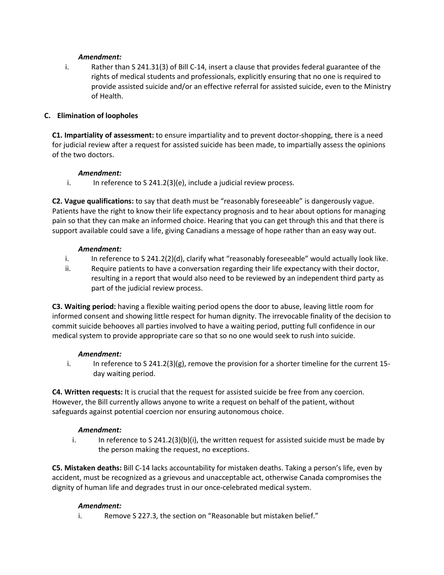## *Amendment:*

i. Rather than S 241.31(3) of Bill C-14, insert a clause that provides federal guarantee of the rights of medical students and professionals, explicitly ensuring that no one is required to provide assisted suicide and/or an effective referral for assisted suicide, even to the Ministry of Health.

## **C. Elimination of loopholes**

**C1. Impartiality of assessment:** to ensure impartiality and to prevent doctor-shopping, there is a need for judicial review after a request for assisted suicide has been made, to impartially assess the opinions of the two doctors.

#### *Amendment:*

i. In reference to S 241.2(3)(e), include a judicial review process.

**C2. Vague qualifications:** to say that death must be "reasonably foreseeable" is dangerously vague. Patients have the right to know their life expectancy prognosis and to hear about options for managing pain so that they can make an informed choice. Hearing that you can get through this and that there is support available could save a life, giving Canadians a message of hope rather than an easy way out.

#### *Amendment:*

- i. In reference to S 241.2(2)(d), clarify what "reasonably foreseeable" would actually look like.
- ii. Require patients to have a conversation regarding their life expectancy with their doctor, resulting in a report that would also need to be reviewed by an independent third party as part of the judicial review process.

**C3. Waiting period:** having a flexible waiting period opens the door to abuse, leaving little room for informed consent and showing little respect for human dignity. The irrevocable finality of the decision to commit suicide behooves all parties involved to have a waiting period, putting full confidence in our medical system to provide appropriate care so that so no one would seek to rush into suicide.

## *Amendment:*

i. In reference to S 241.2(3)(g), remove the provision for a shorter timeline for the current 15 day waiting period.

**C4. Written requests:** It is crucial that the request for assisted suicide be free from any coercion. However, the Bill currently allows anyone to write a request on behalf of the patient, without safeguards against potential coercion nor ensuring autonomous choice.

## *Amendment:*

i. In reference to S 241.2(3)(b)(i), the written request for assisted suicide must be made by the person making the request, no exceptions.

**C5. Mistaken deaths:** Bill C-14 lacks accountability for mistaken deaths. Taking a person's life, even by accident, must be recognized as a grievous and unacceptable act, otherwise Canada compromises the dignity of human life and degrades trust in our once-celebrated medical system.

## *Amendment:*

i. Remove S 227.3, the section on "Reasonable but mistaken belief."